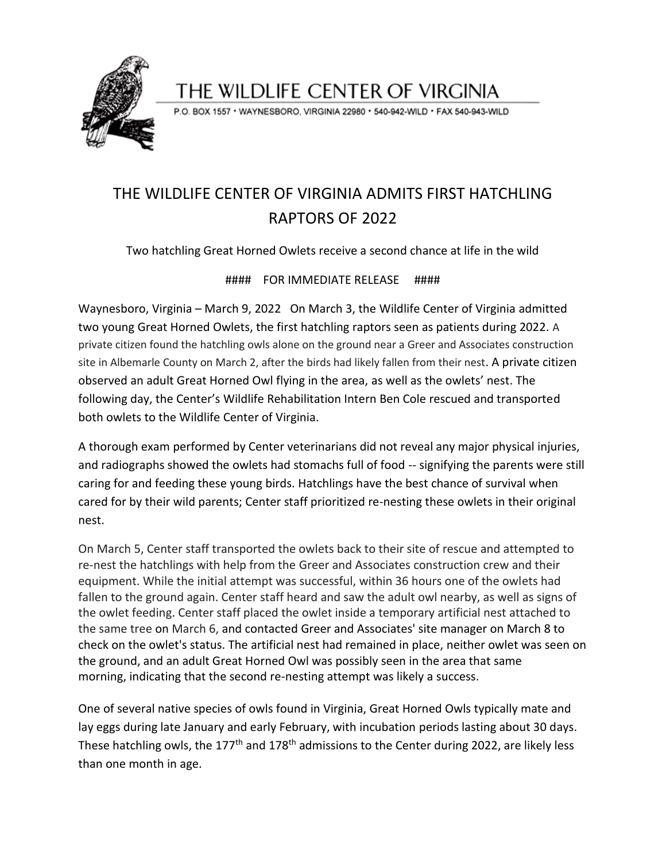

THE WILDLIFE CENTER OF VIRGINIA

P.O. BOX 1557 · WAYNESBORO, VIRGINIA 22980 · 540-942-WILD · FAX 540-943-WILD

## THE WILDLIFE CENTER OF VIRGINIA ADMITS FIRST HATCHLING RAPTORS OF 2022

Two hatchling Great Horned Owlets receive a second chance at life in the wild

## #### FOR IMMEDIATE RELEASE ####

Waynesboro, Virginia – March 9, 2022 On March 3, the Wildlife Center of Virginia admitted two young Great Horned Owlets, the first hatchling raptors seen as patients during 2022. A private citizen found the hatchling owls alone on the ground near a Greer and Associates construction site in Albemarle County on March 2, after the birds had likely fallen from their nest. A private citizen observed an adult Great Horned Owl flying in the area, as well as the owlets' nest. The following day, the Center's Wildlife Rehabilitation Intern Ben Cole rescued and transported both owlets to the Wildlife Center of Virginia.

A thorough exam performed by Center veterinarians did not reveal any major physical injuries, and radiographs showed the owlets had stomachs full of food -- signifying the parents were still caring for and feeding these young birds. Hatchlings have the best chance of survival when cared for by their wild parents; Center staff prioritized re-nesting these owlets in their original nest.

On March 5, Center staff transported the owlets back to their site of rescue and attempted to re-nest the hatchlings with help from the Greer and Associates construction crew and their equipment. While the initial attempt was successful, within 36 hours one of the owlets had fallen to the ground again. Center staff heard and saw the adult owl nearby, as well as signs of the owlet feeding. Center staff placed the owlet inside a temporary artificial nest attached to the same tree on March 6, and contacted Greer and Associates' site manager on March 8 to check on the owlet's status. The artificial nest had remained in place, neither owlet was seen on the ground, and an adult Great Horned Owl was possibly seen in the area that same morning, indicating that the second re-nesting attempt was likely a success.

One of several native species of owls found in Virginia, Great Horned Owls typically mate and lay eggs during late January and early February, with incubation periods lasting about 30 days. These hatchling owls, the 177<sup>th</sup> and 178<sup>th</sup> admissions to the Center during 2022, are likely less than one month in age.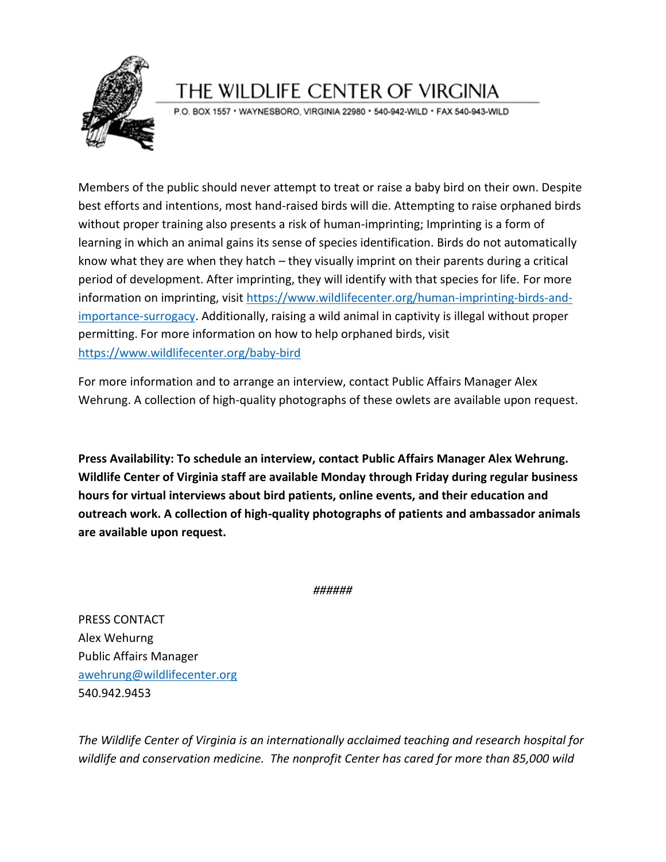

## THE WILDLIFE CENTER OF VIRGINIA

P.O. BOX 1557 · WAYNESBORO, VIRGINIA 22980 · 540-942-WILD · FAX 540-943-WILD

Members of the public should never attempt to treat or raise a baby bird on their own. Despite best efforts and intentions, most hand-raised birds will die. Attempting to raise orphaned birds without proper training also presents a risk of human-imprinting; Imprinting is a form of learning in which an animal gains its sense of species identification. Birds do not automatically know what they are when they hatch – they visually imprint on their parents during a critical period of development. After imprinting, they will identify with that species for life. For more information on imprinting, visit [https://www.wildlifecenter.org/human-imprinting-birds-and](https://www.wildlifecenter.org/human-imprinting-birds-and-importance-surrogacy)[importance-surrogacy.](https://www.wildlifecenter.org/human-imprinting-birds-and-importance-surrogacy) Additionally, raising a wild animal in captivity is illegal without proper permitting. For more information on how to help orphaned birds, visit <https://www.wildlifecenter.org/baby-bird>

For more information and to arrange an interview, contact Public Affairs Manager Alex Wehrung. A collection of high-quality photographs of these owlets are available upon request.

**Press Availability: To schedule an interview, contact Public Affairs Manager Alex Wehrung. Wildlife Center of Virginia staff are available Monday through Friday during regular business hours for virtual interviews about bird patients, online events, and their education and outreach work. A collection of high-quality photographs of patients and ambassador animals are available upon request.**

*######*

PRESS CONTACT Alex Wehurng Public Affairs Manager [awehrung@wildlifecenter.org](mailto:awehrung@wildlifecenter.org) 540.942.9453

*The Wildlife Center of Virginia is an internationally acclaimed teaching and research hospital for wildlife and conservation medicine. The nonprofit Center has cared for more than 85,000 wild*